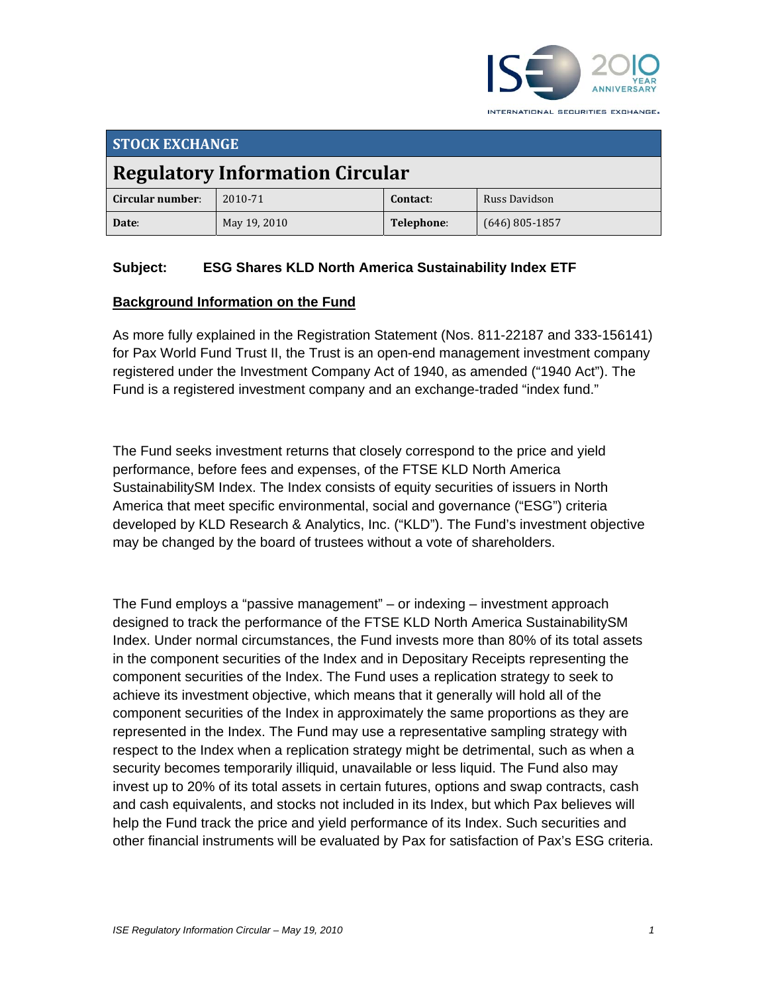

| <b>STOCK EXCHANGE</b>                  |              |            |                  |  |  |
|----------------------------------------|--------------|------------|------------------|--|--|
| <b>Regulatory Information Circular</b> |              |            |                  |  |  |
| Circular number:                       | 2010-71      | Contact:   | Russ Davidson    |  |  |
| Date:                                  | May 19, 2010 | Telephone: | $(646)$ 805-1857 |  |  |

### **Subject: ESG Shares KLD North America Sustainability Index ETF**

#### **Background Information on the Fund**

As more fully explained in the Registration Statement (Nos. 811-22187 and 333-156141) for Pax World Fund Trust II, the Trust is an open-end management investment company registered under the Investment Company Act of 1940, as amended ("1940 Act"). The Fund is a registered investment company and an exchange-traded "index fund."

The Fund seeks investment returns that closely correspond to the price and yield performance, before fees and expenses, of the FTSE KLD North America SustainabilitySM Index. The Index consists of equity securities of issuers in North America that meet specific environmental, social and governance ("ESG") criteria developed by KLD Research & Analytics, Inc. ("KLD"). The Fund's investment objective may be changed by the board of trustees without a vote of shareholders.

The Fund employs a "passive management" – or indexing – investment approach designed to track the performance of the FTSE KLD North America SustainabilitySM Index. Under normal circumstances, the Fund invests more than 80% of its total assets in the component securities of the Index and in Depositary Receipts representing the component securities of the Index. The Fund uses a replication strategy to seek to achieve its investment objective, which means that it generally will hold all of the component securities of the Index in approximately the same proportions as they are represented in the Index. The Fund may use a representative sampling strategy with respect to the Index when a replication strategy might be detrimental, such as when a security becomes temporarily illiquid, unavailable or less liquid. The Fund also may invest up to 20% of its total assets in certain futures, options and swap contracts, cash and cash equivalents, and stocks not included in its Index, but which Pax believes will help the Fund track the price and yield performance of its Index. Such securities and other financial instruments will be evaluated by Pax for satisfaction of Pax's ESG criteria.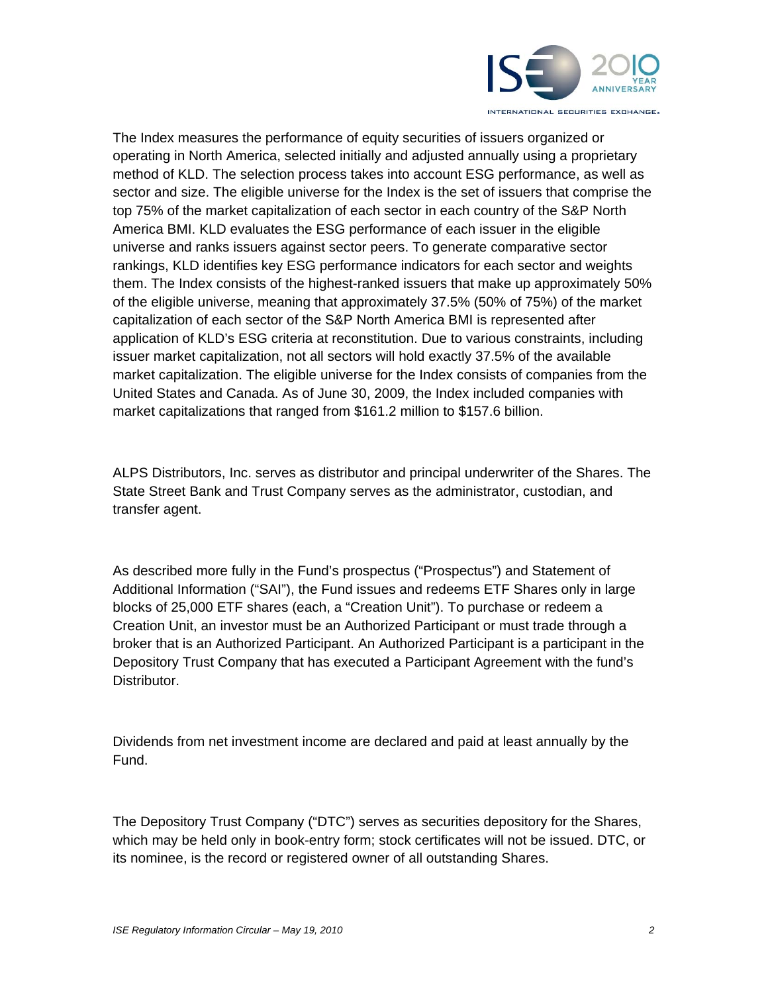

The Index measures the performance of equity securities of issuers organized or operating in North America, selected initially and adjusted annually using a proprietary method of KLD. The selection process takes into account ESG performance, as well as sector and size. The eligible universe for the Index is the set of issuers that comprise the top 75% of the market capitalization of each sector in each country of the S&P North America BMI. KLD evaluates the ESG performance of each issuer in the eligible universe and ranks issuers against sector peers. To generate comparative sector rankings, KLD identifies key ESG performance indicators for each sector and weights them. The Index consists of the highest-ranked issuers that make up approximately 50% of the eligible universe, meaning that approximately 37.5% (50% of 75%) of the market capitalization of each sector of the S&P North America BMI is represented after application of KLD's ESG criteria at reconstitution. Due to various constraints, including issuer market capitalization, not all sectors will hold exactly 37.5% of the available market capitalization. The eligible universe for the Index consists of companies from the United States and Canada. As of June 30, 2009, the Index included companies with market capitalizations that ranged from \$161.2 million to \$157.6 billion.

ALPS Distributors, Inc. serves as distributor and principal underwriter of the Shares. The State Street Bank and Trust Company serves as the administrator, custodian, and transfer agent.

As described more fully in the Fund's prospectus ("Prospectus") and Statement of Additional Information ("SAI"), the Fund issues and redeems ETF Shares only in large blocks of 25,000 ETF shares (each, a "Creation Unit"). To purchase or redeem a Creation Unit, an investor must be an Authorized Participant or must trade through a broker that is an Authorized Participant. An Authorized Participant is a participant in the Depository Trust Company that has executed a Participant Agreement with the fund's Distributor.

Dividends from net investment income are declared and paid at least annually by the Fund.

The Depository Trust Company ("DTC") serves as securities depository for the Shares, which may be held only in book-entry form; stock certificates will not be issued. DTC, or its nominee, is the record or registered owner of all outstanding Shares.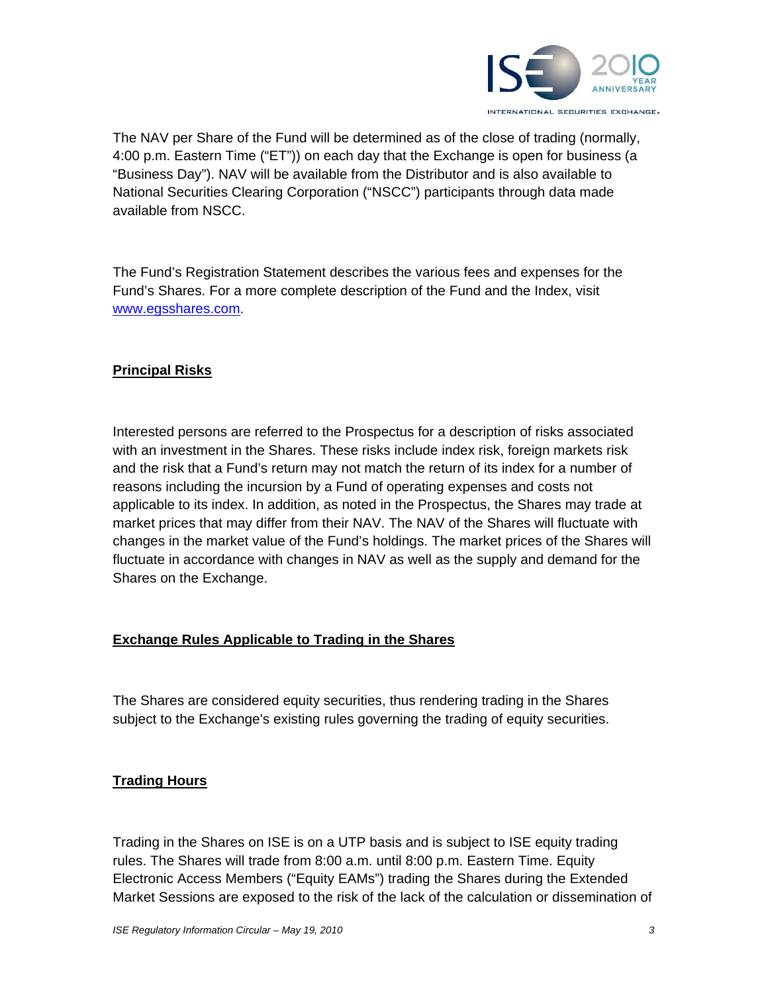

The NAV per Share of the Fund will be determined as of the close of trading (normally, 4:00 p.m. Eastern Time ("ET")) on each day that the Exchange is open for business (a "Business Day"). NAV will be available from the Distributor and is also available to National Securities Clearing Corporation ("NSCC") participants through data made available from NSCC.

The Fund's Registration Statement describes the various fees and expenses for the Fund's Shares. For a more complete description of the Fund and the Index, visit www.egsshares.com.

### **Principal Risks**

Interested persons are referred to the Prospectus for a description of risks associated with an investment in the Shares. These risks include index risk, foreign markets risk and the risk that a Fund's return may not match the return of its index for a number of reasons including the incursion by a Fund of operating expenses and costs not applicable to its index. In addition, as noted in the Prospectus, the Shares may trade at market prices that may differ from their NAV. The NAV of the Shares will fluctuate with changes in the market value of the Fund's holdings. The market prices of the Shares will fluctuate in accordance with changes in NAV as well as the supply and demand for the Shares on the Exchange.

## **Exchange Rules Applicable to Trading in the Shares**

The Shares are considered equity securities, thus rendering trading in the Shares subject to the Exchange's existing rules governing the trading of equity securities.

## **Trading Hours**

Trading in the Shares on ISE is on a UTP basis and is subject to ISE equity trading rules. The Shares will trade from 8:00 a.m. until 8:00 p.m. Eastern Time. Equity Electronic Access Members ("Equity EAMs") trading the Shares during the Extended Market Sessions are exposed to the risk of the lack of the calculation or dissemination of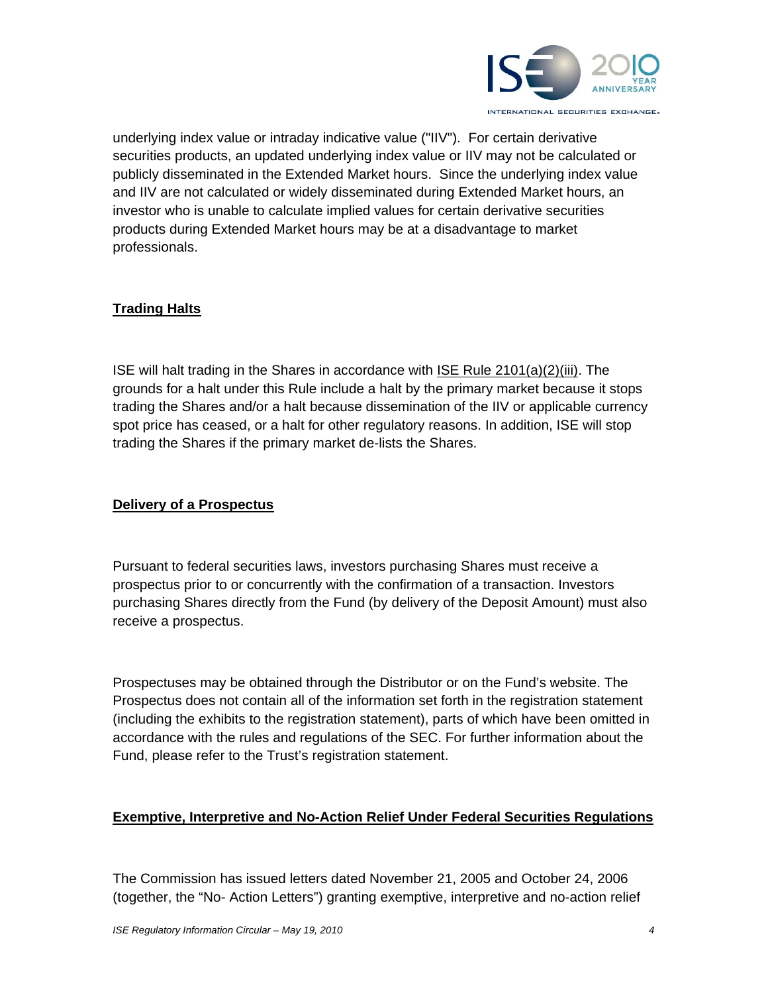

underlying index value or intraday indicative value ("IIV"). For certain derivative securities products, an updated underlying index value or IIV may not be calculated or publicly disseminated in the Extended Market hours. Since the underlying index value and IIV are not calculated or widely disseminated during Extended Market hours, an investor who is unable to calculate implied values for certain derivative securities products during Extended Market hours may be at a disadvantage to market professionals.

## **Trading Halts**

ISE will halt trading in the Shares in accordance with ISE Rule 2101(a)(2)(iii). The grounds for a halt under this Rule include a halt by the primary market because it stops trading the Shares and/or a halt because dissemination of the IIV or applicable currency spot price has ceased, or a halt for other regulatory reasons. In addition, ISE will stop trading the Shares if the primary market de-lists the Shares.

#### **Delivery of a Prospectus**

Pursuant to federal securities laws, investors purchasing Shares must receive a prospectus prior to or concurrently with the confirmation of a transaction. Investors purchasing Shares directly from the Fund (by delivery of the Deposit Amount) must also receive a prospectus.

Prospectuses may be obtained through the Distributor or on the Fund's website. The Prospectus does not contain all of the information set forth in the registration statement (including the exhibits to the registration statement), parts of which have been omitted in accordance with the rules and regulations of the SEC. For further information about the Fund, please refer to the Trust's registration statement.

#### **Exemptive, Interpretive and No-Action Relief Under Federal Securities Regulations**

The Commission has issued letters dated November 21, 2005 and October 24, 2006 (together, the "No- Action Letters") granting exemptive, interpretive and no-action relief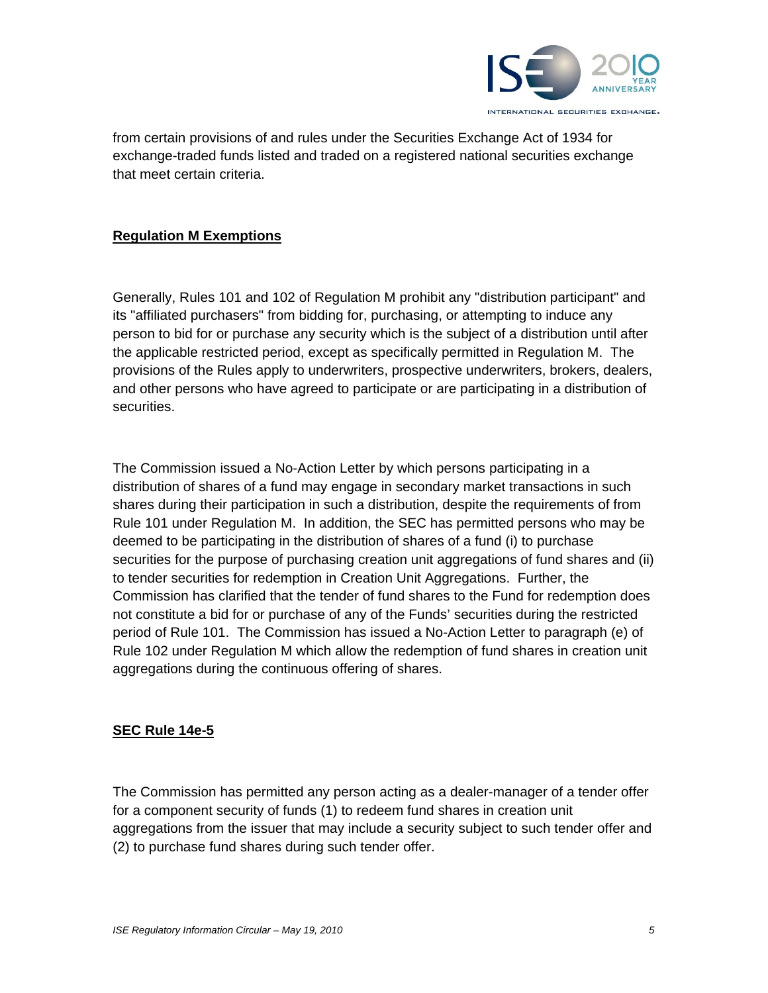

from certain provisions of and rules under the Securities Exchange Act of 1934 for exchange-traded funds listed and traded on a registered national securities exchange that meet certain criteria.

#### **Regulation M Exemptions**

Generally, Rules 101 and 102 of Regulation M prohibit any "distribution participant" and its "affiliated purchasers" from bidding for, purchasing, or attempting to induce any person to bid for or purchase any security which is the subject of a distribution until after the applicable restricted period, except as specifically permitted in Regulation M. The provisions of the Rules apply to underwriters, prospective underwriters, brokers, dealers, and other persons who have agreed to participate or are participating in a distribution of securities.

The Commission issued a No-Action Letter by which persons participating in a distribution of shares of a fund may engage in secondary market transactions in such shares during their participation in such a distribution, despite the requirements of from Rule 101 under Regulation M. In addition, the SEC has permitted persons who may be deemed to be participating in the distribution of shares of a fund (i) to purchase securities for the purpose of purchasing creation unit aggregations of fund shares and (ii) to tender securities for redemption in Creation Unit Aggregations. Further, the Commission has clarified that the tender of fund shares to the Fund for redemption does not constitute a bid for or purchase of any of the Funds' securities during the restricted period of Rule 101. The Commission has issued a No-Action Letter to paragraph (e) of Rule 102 under Regulation M which allow the redemption of fund shares in creation unit aggregations during the continuous offering of shares.

#### **SEC Rule 14e-5**

The Commission has permitted any person acting as a dealer-manager of a tender offer for a component security of funds (1) to redeem fund shares in creation unit aggregations from the issuer that may include a security subject to such tender offer and (2) to purchase fund shares during such tender offer.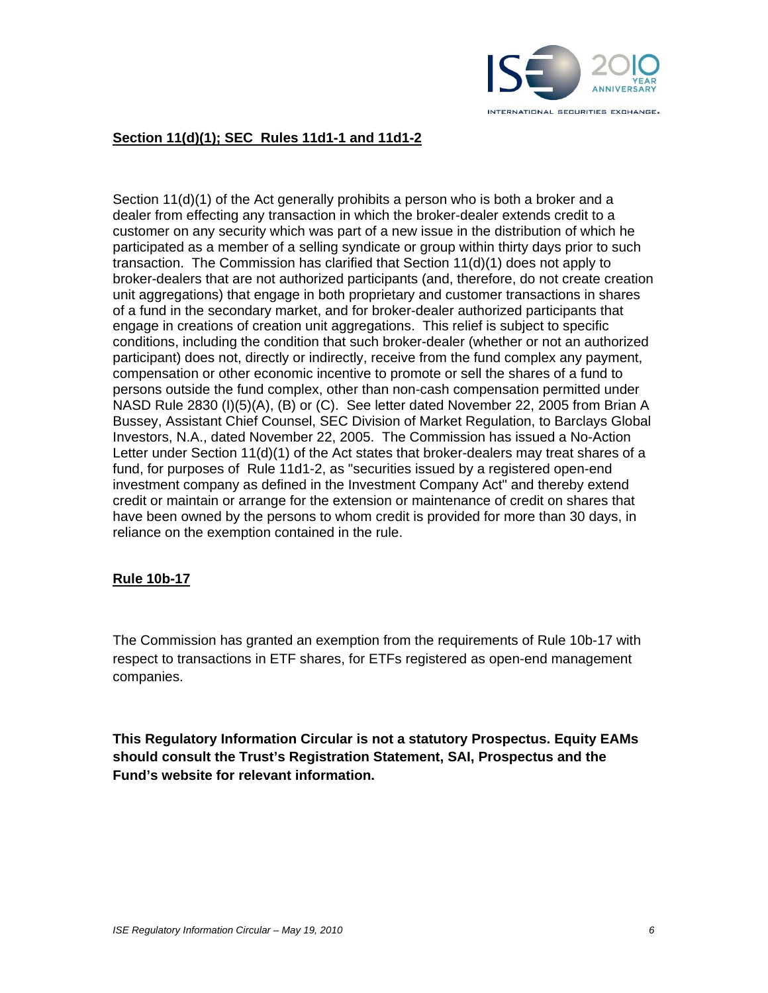

#### **Section 11(d)(1); SEC Rules 11d1-1 and 11d1-2**

Section 11(d)(1) of the Act generally prohibits a person who is both a broker and a dealer from effecting any transaction in which the broker-dealer extends credit to a customer on any security which was part of a new issue in the distribution of which he participated as a member of a selling syndicate or group within thirty days prior to such transaction. The Commission has clarified that Section 11(d)(1) does not apply to broker-dealers that are not authorized participants (and, therefore, do not create creation unit aggregations) that engage in both proprietary and customer transactions in shares of a fund in the secondary market, and for broker-dealer authorized participants that engage in creations of creation unit aggregations. This relief is subject to specific conditions, including the condition that such broker-dealer (whether or not an authorized participant) does not, directly or indirectly, receive from the fund complex any payment, compensation or other economic incentive to promote or sell the shares of a fund to persons outside the fund complex, other than non-cash compensation permitted under NASD Rule 2830 (I)(5)(A), (B) or (C). See letter dated November 22, 2005 from Brian A Bussey, Assistant Chief Counsel, SEC Division of Market Regulation, to Barclays Global Investors, N.A., dated November 22, 2005. The Commission has issued a No-Action Letter under Section 11(d)(1) of the Act states that broker-dealers may treat shares of a fund, for purposes of Rule 11d1-2, as "securities issued by a registered open-end investment company as defined in the Investment Company Act" and thereby extend credit or maintain or arrange for the extension or maintenance of credit on shares that have been owned by the persons to whom credit is provided for more than 30 days, in reliance on the exemption contained in the rule.

#### **Rule 10b-17**

The Commission has granted an exemption from the requirements of Rule 10b-17 with respect to transactions in ETF shares, for ETFs registered as open-end management companies.

**This Regulatory Information Circular is not a statutory Prospectus. Equity EAMs should consult the Trust's Registration Statement, SAI, Prospectus and the Fund's website for relevant information.**